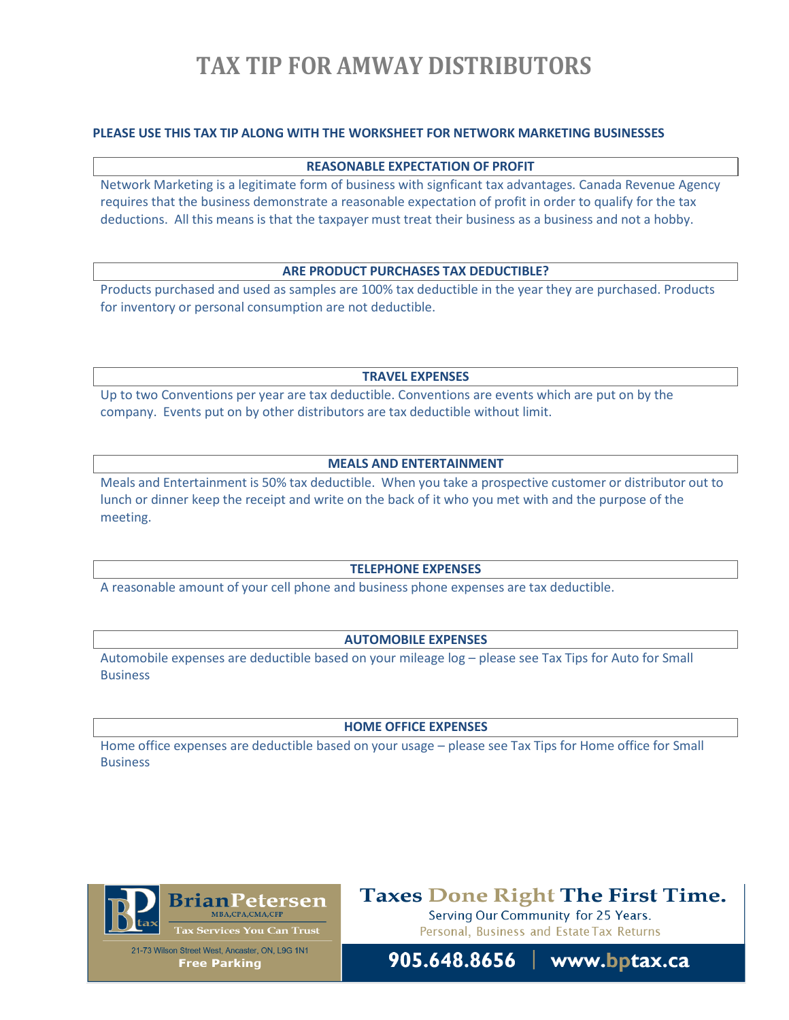# **TAX TIP FOR AMWAY DISTRIBUTORS**

# **PLEASE USE THIS TAX TIP ALONG WITH THE WORKSHEET FOR NETWORK MARKETING BUSINESSES**

### **REASONABLE EXPECTATION OF PROFIT**

Network Marketing is a legitimate form of business with signficant tax advantages. Canada Revenue Agency requires that the business demonstrate a reasonable expectation of profit in order to qualify for the tax deductions. All this means is that the taxpayer must treat their business as a business and not a hobby.

# **ARE PRODUCT PURCHASES TAX DEDUCTIBLE?**

Products purchased and used as samples are 100% tax deductible in the year they are purchased. Products for inventory or personal consumption are not deductible.

**TRAVEL EXPENSES**

Up to two Conventions per year are tax deductible. Conventions are events which are put on by the company. Events put on by other distributors are tax deductible without limit.

# **MEALS AND ENTERTAINMENT**

Meals and Entertainment is 50% tax deductible. When you take a prospective customer or distributor out to lunch or dinner keep the receipt and write on the back of it who you met with and the purpose of the meeting.

#### **TELEPHONE EXPENSES**

A reasonable amount of your cell phone and business phone expenses are tax deductible.

### **AUTOMOBILE EXPENSES**

Automobile expenses are deductible based on your mileage log – please see Tax Tips for Auto for Small **Business** 

#### **HOME OFFICE EXPENSES**

Home office expenses are deductible based on your usage – please see Tax Tips for Home office for Small Business



**Taxes Done Right The First Time.** 

Serving Our Community for 25 Years. Personal, Business and Estate Tax Returns



905.648.8656 www.bptax.ca